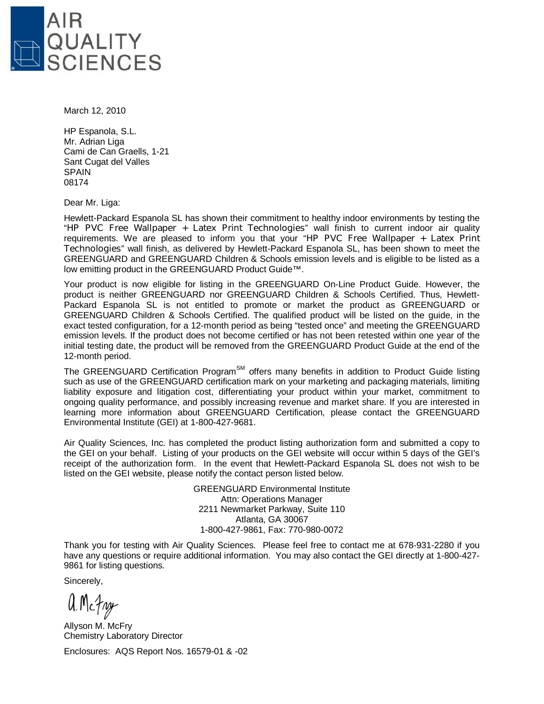

March 12, 2010

HP Espanola, S.L. Mr. Adrian Liga Cami de Can Graells, 1-21 Sant Cugat del Valles SPAIN 08174

Dear Mr. Liga:

Hewlett-Packard Espanola SL has shown their commitment to healthy indoor environments by testing the "**HP PVC Free Wallpaper + Latex Print Technologies**" wall finish to current indoor air quality requirements. We are pleased to inform you that your "**HP PVC Free Wallpaper + Latex Print Technologies**" wall finish, as delivered by Hewlett-Packard Espanola SL, has been shown to meet the GREENGUARD and GREENGUARD Children & Schools emission levels and is eligible to be listed as a low emitting product in the GREENGUARD Product Guide™.

Your product is now eligible for listing in the GREENGUARD On-Line Product Guide. However, the product is neither GREENGUARD nor GREENGUARD Children & Schools Certified. Thus, Hewlett-Packard Espanola SL is not entitled to promote or market the product as GREENGUARD or GREENGUARD Children & Schools Certified. The qualified product will be listed on the guide, in the exact tested configuration, for a 12-month period as being "tested once" and meeting the GREENGUARD emission levels. If the product does not become certified or has not been retested within one year of the initial testing date, the product will be removed from the GREENGUARD Product Guide at the end of the 12-month period.

The GREENGUARD Certification Program<sup>SM</sup> offers many benefits in addition to Product Guide listing such as use of the GREENGUARD certification mark on your marketing and packaging materials, limiting liability exposure and litigation cost, differentiating your product within your market, commitment to ongoing quality performance, and possibly increasing revenue and market share. If you are interested in learning more information about GREENGUARD Certification, please contact the GREENGUARD Environmental Institute (GEI) at 1-800-427-9681.

Air Quality Sciences, Inc. has completed the product listing authorization form and submitted a copy to the GEI on your behalf. Listing of your products on the GEI website will occur within 5 days of the GEI's receipt of the authorization form. In the event that Hewlett-Packard Espanola SL does not wish to be listed on the GEI website, please notify the contact person listed below.

> GREENGUARD Environmental Institute Attn: Operations Manager 2211 Newmarket Parkway, Suite 110 Atlanta, GA 30067 1-800-427-9861, Fax: 770-980-0072

Thank you for testing with Air Quality Sciences. Please feel free to contact me at 678-931-2280 if you have any questions or require additional information. You may also contact the GEI directly at 1-800-427- 9861 for listing questions.

Sincerely,

a. McFny

Allyson M. McFry Chemistry Laboratory Director Enclosures: AQS Report Nos. 16579-01 & -02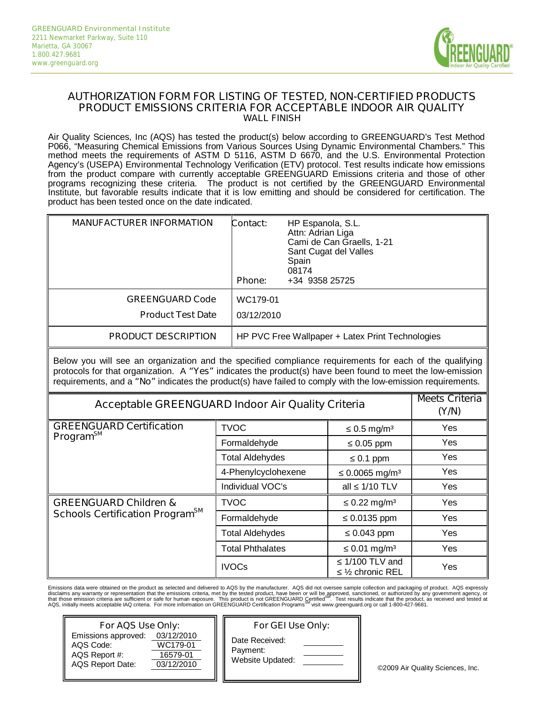

#### **AUTHORIZATION FORM FOR LISTING OF TESTED, NON-CERTIFIED PRODUCTS PRODUCT EMISSIONS CRITERIA FOR ACCEPTABLE INDOOR AIR QUALITY WALL FINISH**

Air Quality Sciences, Inc (AQS) has tested the product(s) below according to GREENGUARD's Test Method P066, "Measuring Chemical Emissions from Various Sources Using Dynamic Environmental Chambers." This method meets the requirements of ASTM D 5116, ASTM D 6670, and the U.S. Environmental Protection Agency's (USEPA) Environmental Technology Verification (ETV) protocol. Test results indicate how emissions from the product compare with currently acceptable GREENGUARD Emissions criteria and those of other programs recognizing these criteria. The product is not certified by the GREENGUARD Environmental Institute, but favorable results indicate that it is low emitting and should be considered for certification. The product has been tested once on the date indicated.

| <b>MANUFACTURER INFORMATION</b>                    | Contact:<br><b>Phone:</b>                        | HP Espanola, S.L.<br>Attn: Adrian Liga<br>Cami de Can Graells, 1-21<br>Sant Cugat del Valles<br>Spain<br>08174<br>+34 9358 25725 |
|----------------------------------------------------|--------------------------------------------------|----------------------------------------------------------------------------------------------------------------------------------|
| <b>GREENGUARD Code</b><br><b>Product Test Date</b> | WC179-01<br>03/12/2010                           |                                                                                                                                  |
| <b>PRODUCT DESCRIPTION</b>                         | HP PVC Free Wallpaper + Latex Print Technologies |                                                                                                                                  |

Below you will see an organization and the specified compliance requirements for each of the qualifying protocols for that organization. A **"Yes"** indicates the product(s) have been found to meet the low-emission requirements, and a **"No"** indicates the product(s) have failed to comply with the low-emission requirements.

| Acceptable GREENGUARD Indoor Air Quality Criteria | <b>Meets Criteria</b><br>(Y/N) |                                            |            |
|---------------------------------------------------|--------------------------------|--------------------------------------------|------------|
| <b>GREENGUARD Certification</b>                   | <b>TVOC</b>                    | $0.5$ mg/m <sup>3</sup>                    | Yes        |
| Program <sup>sM</sup>                             | Formaldehyde                   | $0.05$ ppm                                 | Yes        |
|                                                   | <b>Total Aldehydes</b>         | $0.1$ ppm                                  | <b>Yes</b> |
|                                                   | 4-Phenylcyclohexene            | $0.0065$ mg/m <sup>3</sup>                 | Yes        |
|                                                   | Individual VOC's               | 1/10 TLV<br>all                            | Yes        |
| <b>GREENGUARD Children &amp;</b>                  | <b>TVOC</b>                    | $0.22 \,\mathrm{mg/m^3}$                   | <b>Yes</b> |
| Schools Certification Program <sup>SM</sup>       | Formaldehyde                   | 0.0135 ppm                                 | Yes        |
|                                                   | <b>Total Aldehydes</b>         | 0.043 ppm                                  | <b>Yes</b> |
|                                                   | <b>Total Phthalates</b>        | $0.01$ mg/m <sup>3</sup>                   | Yes        |
|                                                   | <b>IVOCs</b>                   | 1/100 TLV and<br>$\frac{1}{2}$ chronic REL | Yes        |

Emissions data were obtained on the product as selected and delivered to AQS by the manufacturer. AQS did not oversee sample collection and packaging of product. AQS expressly disclaims any warranty or representation that the emissions criteria, met by the tested product, have been or will be approved, sanctioned, or authorized by any government agency, or<br>that those emission criteria are suffic

| For AQS Use Only:                                                            | For                                              |                                    |
|------------------------------------------------------------------------------|--------------------------------------------------|------------------------------------|
| Emissions approved:<br>AQS Code:<br>AQS Report #:<br><b>AQS Report Date:</b> | 03/12/2010<br>WC179-01<br>16579-01<br>03/12/2010 | Date Rece<br>Payment:<br>Website L |

#### *For GEI Use Only:*

eived: Ipdated:

©2009 Air Quality Sciences, Inc.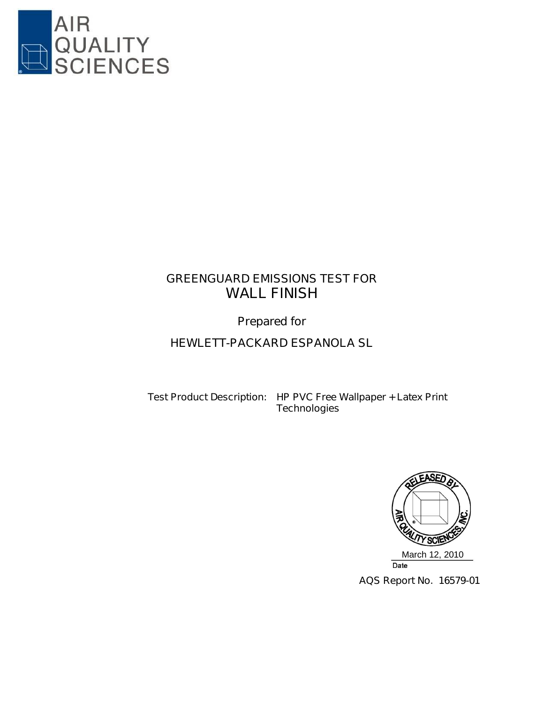

# **GREENGUARD EMISSIONS TEST FOR WALL FINISH**

**Prepared for**

# **HEWLETT-PACKARD ESPANOLA SL**

**Test Product Description: HP PVC Free Wallpaper + Latex Print Technologies**



**AQS Report No. 16579-01**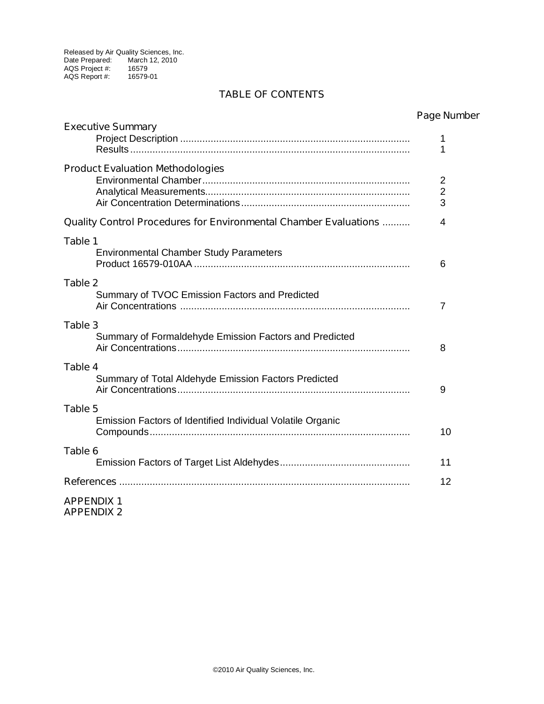#### **TABLE OF CONTENTS**

| <b>Executive Summary</b>                                         | naye nun       |
|------------------------------------------------------------------|----------------|
|                                                                  | 1              |
|                                                                  | 1              |
| <b>Product Evaluation Methodologies</b>                          |                |
|                                                                  | $\overline{2}$ |
|                                                                  | $\overline{2}$ |
|                                                                  | 3              |
| Quality Control Procedures for Environmental Chamber Evaluations | 4              |
| Table 1                                                          |                |
| <b>Environmental Chamber Study Parameters</b>                    |                |
|                                                                  | 6              |
| Table 2                                                          |                |
| Summary of TVOC Emission Factors and Predicted                   |                |
|                                                                  | 7              |
| Table 3                                                          |                |
| Summary of Formaldehyde Emission Factors and Predicted           |                |
|                                                                  | 8              |
| Table 4                                                          |                |
| Summary of Total Aldehyde Emission Factors Predicted             |                |
|                                                                  | 9              |
| Table 5                                                          |                |
| Emission Factors of Identified Individual Volatile Organic       |                |
|                                                                  | 10             |
| Table 6                                                          |                |
|                                                                  | 11             |
| References …………………………………………………………………………………………                    | 12             |
| <b>APPENDIX 1</b>                                                |                |
| <b>APPENDIX 2</b>                                                |                |

**Page Number**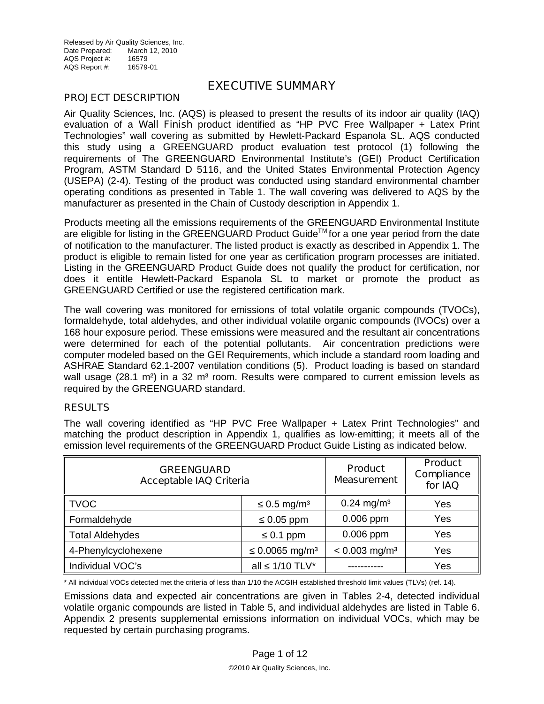Released by Air Quality Sciences, Inc. Date Prepared: March 12, 2010 AQS Project #: 16579<br>AQS Report #: 16579-01 AQS Report #:

#### **EXECUTIVE SUMMARY**

#### **PROJECT DESCRIPTION**

Air Quality Sciences, Inc. (AQS) is pleased to present the results of its indoor air quality (IAQ) evaluation of a **Wall Finish** product identified as "HP PVC Free Wallpaper + Latex Print Technologies" wall covering as submitted by Hewlett-Packard Espanola SL. AQS conducted this study using a GREENGUARD product evaluation test protocol (1) following the requirements of The GREENGUARD Environmental Institute's (GEI) Product Certification Program, ASTM Standard D 5116, and the United States Environmental Protection Agency (USEPA) (2-4). Testing of the product was conducted using standard environmental chamber operating conditions as presented in Table 1. The wall covering was delivered to AQS by the manufacturer as presented in the Chain of Custody description in Appendix 1.

Products meeting all the emissions requirements of the GREENGUARD Environmental Institute are eligible for listing in the GREENGUARD Product Guide™ for a one year period from the date of notification to the manufacturer. The listed product is exactly as described in Appendix 1. The product is eligible to remain listed for one year as certification program processes are initiated. Listing in the GREENGUARD Product Guide does not qualify the product for certification, nor does it entitle Hewlett-Packard Espanola SL to market or promote the product as GREENGUARD Certified or use the registered certification mark.

The wall covering was monitored for emissions of total volatile organic compounds (TVOCs), formaldehyde, total aldehydes, and other individual volatile organic compounds (IVOCs) over a 168 hour exposure period. These emissions were measured and the resultant air concentrations were determined for each of the potential pollutants. Air concentration predictions were computer modeled based on the GEI Requirements, which include a standard room loading and ASHRAE Standard 62.1-2007 ventilation conditions (5). Product loading is based on standard wall usage  $(28.1 \text{ m}^2)$  in a 32 m<sup>3</sup> room. Results were compared to current emission levels as required by the GREENGUARD standard.

#### **RESULTS**

The wall covering identified as "HP PVC Free Wallpaper + Latex Print Technologies" and matching the product description in Appendix 1, qualifies as low-emitting; it meets all of the emission level requirements of the GREENGUARD Product Guide Listing as indicated below.

| <b>GREENGUARD</b><br><b>Acceptable IAQ Criteria</b> | <b>Product</b><br><b>Measurement</b> | <b>Product</b><br><b>Compliance</b><br>for IAQ |     |
|-----------------------------------------------------|--------------------------------------|------------------------------------------------|-----|
| <b>TVOC</b>                                         | $0.5$ mg/m <sup>3</sup>              | $0.24$ mg/m <sup>3</sup>                       | Yes |
| Formaldehyde                                        | $0.05$ ppm                           | $0.006$ ppm                                    | Yes |
| <b>Total Aldehydes</b>                              | $0.1$ ppm                            | $0.006$ ppm                                    | Yes |
| 4-Phenylcyclohexene                                 | $0.0065$ mg/m <sup>3</sup>           | $< 0.003$ mg/m <sup>3</sup>                    | Yes |
| Individual VOC's                                    | 1/10 TLV*<br>all                     |                                                | Yes |

\* All individual VOCs detected met the criteria of less than 1/10 the ACGIH established threshold limit values (TLVs) (ref. 14).

Emissions data and expected air concentrations are given in Tables 2-4, detected individual volatile organic compounds are listed in Table 5, and individual aldehydes are listed in Table 6. Appendix 2 presents supplemental emissions information on individual VOCs, which may be requested by certain purchasing programs.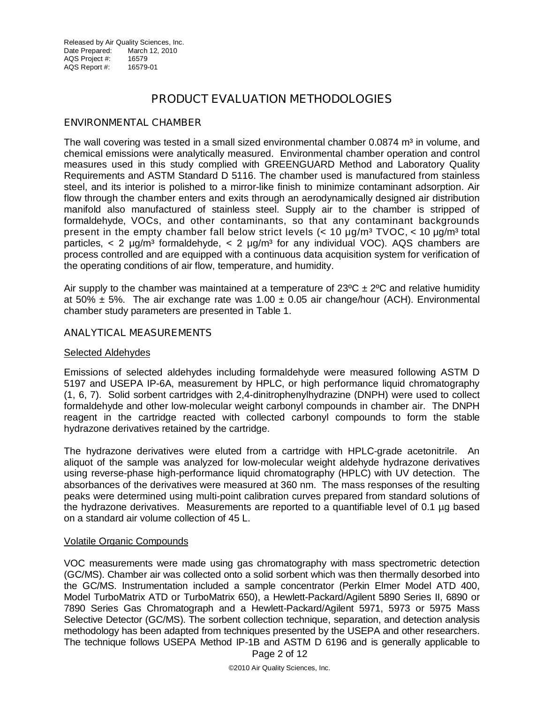## **PRODUCT EVALUATION METHODOLOGIES**

#### **ENVIRONMENTAL CHAMBER**

The wall covering was tested in a small sized environmental chamber  $0.0874$  m<sup>3</sup> in volume, and chemical emissions were analytically measured. Environmental chamber operation and control measures used in this study complied with GREENGUARD Method and Laboratory Quality Requirements and ASTM Standard D 5116. The chamber used is manufactured from stainless steel, and its interior is polished to a mirror-like finish to minimize contaminant adsorption. Air flow through the chamber enters and exits through an aerodynamically designed air distribution manifold also manufactured of stainless steel. Supply air to the chamber is stripped of formaldehyde, VOCs, and other contaminants, so that any contaminant backgrounds present in the empty chamber fall below strict levels  $\ll 10 \mu q/m^3$  TVOC,  $\lt 10 \mu q/m^3$  total particles,  $\langle 2 \mu q/m^3$  formaldehyde,  $\langle 2 \mu q/m^3$  for any individual VOC). AQS chambers are process controlled and are equipped with a continuous data acquisition system for verification of the operating conditions of air flow, temperature, and humidity.

Air supply to the chamber was maintained at a temperature of  $23^{\circ}C \pm 2^{\circ}C$  and relative humidity at 50%  $\pm$  5%. The air exchange rate was 1.00  $\pm$  0.05 air change/hour (ACH). Environmental chamber study parameters are presented in Table 1.

#### **ANALYTICAL MEASUREMENTS**

#### Selected Aldehydes

Emissions of selected aldehydes including formaldehyde were measured following ASTM D 5197 and USEPA IP-6A, measurement by HPLC, or high performance liquid chromatography (1, 6, 7). Solid sorbent cartridges with 2,4-dinitrophenylhydrazine (DNPH) were used to collect formaldehyde and other low-molecular weight carbonyl compounds in chamber air. The DNPH reagent in the cartridge reacted with collected carbonyl compounds to form the stable hydrazone derivatives retained by the cartridge.

The hydrazone derivatives were eluted from a cartridge with HPLC-grade acetonitrile. An aliquot of the sample was analyzed for low-molecular weight aldehyde hydrazone derivatives using reverse-phase high-performance liquid chromatography (HPLC) with UV detection. The absorbances of the derivatives were measured at 360 nm. The mass responses of the resulting peaks were determined using multi-point calibration curves prepared from standard solutions of the hydrazone derivatives.Measurements are reported to a quantifiable level of 0.1 µg based on a standard air volume collection of 45 L.

#### Volatile Organic Compounds

VOC measurements were made using gas chromatography with mass spectrometric detection (GC/MS). Chamber air was collected onto a solid sorbent which was then thermally desorbed into the GC/MS. Instrumentation included a sample concentrator (Perkin Elmer Model ATD 400, Model TurboMatrix ATD or TurboMatrix 650), a Hewlett-Packard/Agilent 5890 Series II, 6890 or 7890 Series Gas Chromatograph and a Hewlett-Packard/Agilent 5971, 5973 or 5975 Mass Selective Detector (GC/MS). The sorbent collection technique, separation, and detection analysis methodology has been adapted from techniques presented by the USEPA and other researchers. The technique follows USEPA Method IP-1B and ASTM D 6196 and is generally applicable to

Page 2 of 12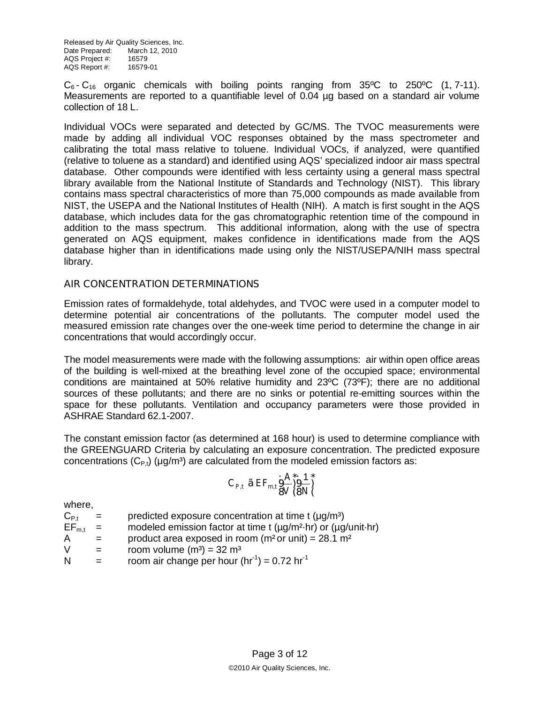Released by Air Quality Sciences, Inc. Date Prepared: March 12, 2010 AQS Project #: 16579<br>AQS Report #: 16579-01 AQS Report #:

 $C_6$ -  $C_{16}$  organic chemicals with boiling points ranging from 35 °C to 250 °C (1, 7-11). Measurements are reported to a quantifiable level of 0.04 µg based on a standard air volume collection of 18 L.

Individual VOCs were separated and detected by GC/MS. The TVOC measurements were made by adding all individual VOC responses obtained by the mass spectrometer and calibrating the total mass relative to toluene. Individual VOCs, if analyzed, were quantified (relative to toluene as a standard) and identified using AQS' specialized indoor air mass spectral database. Other compounds were identified with less certainty using a general mass spectral library available from the National Institute of Standards and Technology (NIST). This library contains mass spectral characteristics of more than 75,000 compounds as made available from NIST, the USEPA and the National Institutes of Health (NIH). A match is first sought in the AQS database, which includes data for the gas chromatographic retention time of the compound in addition to the mass spectrum. This additional information, along with the use of spectra generated on AQS equipment, makes confidence in identifications made from the AQS database higher than in identifications made using only the NIST/USEPA/NIH mass spectral library.

#### **AIR CONCENTRATION DETERMINATIONS**

Emission rates of formaldehyde, total aldehydes, and TVOC were used in a computer model to determine potential air concentrations of the pollutants. The computer model used the measured emission rate changes over the one-week time period to determine the change in air concentrations that would accordingly occur.

The model measurements were made with the following assumptions: air within open office areas of the building is well-mixed at the breathing level zone of the occupied space; environmental conditions are maintained at 50% relative humidity and 23ºC (73ºF); there are no additional sources of these pollutants; and there are no sinks or potential re-emitting sources within the space for these pollutants. Ventilation and occupancy parameters were those provided in ASHRAE Standard 62.1-2007.

The constant emission factor (as determined at 168 hour) is used to determine compliance with the GREENGUARD Criteria by calculating an exposure concentration. The predicted exposure concentrations ( $C_{P,t}$ ) (μg/m<sup>3</sup>) are calculated from the modeled emission factors as:

$$
C_{P,t} \ \tilde{a} \ EF_{m,t} \frac{\partial A^*}{\partial V} \frac{1}{\partial N} \Big\}^*
$$

where,

 $C_{P<sub>t</sub>}$  = predicted exposure concentration at time t ( $\mu$ g/m<sup>3</sup>)

 $EF_{m,t}$  = modeled emission factor at time t ( $\mu g/m^2$ -hr) or ( $\mu g/unit$ -hr)

A  $=$  product area exposed in room ( $m<sup>2</sup>$  or unit) = 28.1  $m<sup>2</sup>$ 

$$
V = \qquad \qquad \text{room volume (m3)} = 32 \, \text{m}^3
$$

N  $=$  room air change per hour (hr<sup>-1</sup>) = 0.72 hr<sup>-1</sup>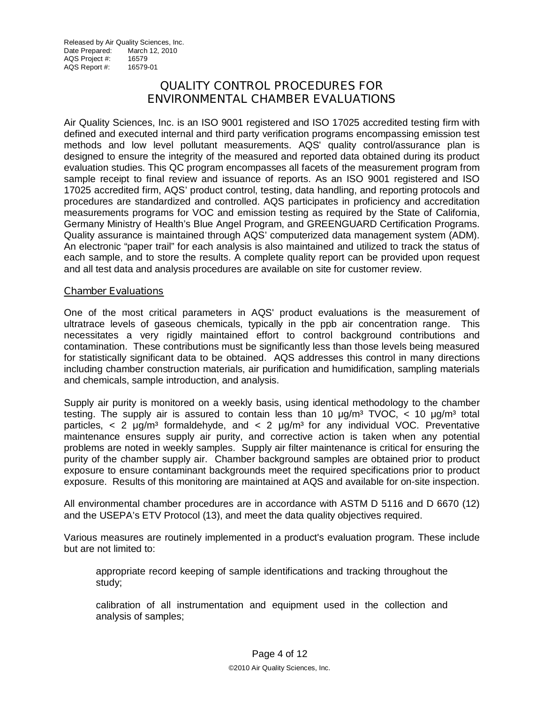## **QUALITY CONTROL PROCEDURES FOR ENVIRONMENTAL CHAMBER EVALUATIONS**

Air Quality Sciences, Inc. is an ISO 9001 registered and ISO 17025 accredited testing firm with defined and executed internal and third party verification programs encompassing emission test methods and low level pollutant measurements. AQS' quality control/assurance plan is designed to ensure the integrity of the measured and reported data obtained during its product evaluation studies. This QC program encompasses all facets of the measurement program from sample receipt to final review and issuance of reports. As an ISO 9001 registered and ISO 17025 accredited firm, AQS' product control, testing, data handling, and reporting protocols and procedures are standardized and controlled. AQS participates in proficiency and accreditation measurements programs for VOC and emission testing as required by the State of California, Germany Ministry of Health's Blue Angel Program, and GREENGUARD Certification Programs. Quality assurance is maintained through AQS' computerized data management system (ADM). An electronic "paper trail" for each analysis is also maintained and utilized to track the status of each sample, and to store the results. A complete quality report can be provided upon request and all test data and analysis procedures are available on site for customer review.

#### **Chamber Evaluations**

One of the most critical parameters in AQS' product evaluations is the measurement of ultratrace levels of gaseous chemicals, typically in the ppb air concentration range. This necessitates a very rigidly maintained effort to control background contributions and contamination. These contributions must be significantly less than those levels being measured for statistically significant data to be obtained. AQS addresses this control in many directions including chamber construction materials, air purification and humidification, sampling materials and chemicals, sample introduction, and analysis.

Supply air purity is monitored on a weekly basis, using identical methodology to the chamber testing. The supply air is assured to contain less than 10  $\mu q/m^3$  TVOC, < 10  $\mu q/m^3$  total particles,  $\langle$  2  $\mu$ g/m<sup>3</sup> formaldehyde, and  $\langle$  2  $\mu$ g/m<sup>3</sup> for any individual VOC. Preventative maintenance ensures supply air purity, and corrective action is taken when any potential problems are noted in weekly samples. Supply air filter maintenance is critical for ensuring the purity of the chamber supply air. Chamber background samples are obtained prior to product exposure to ensure contaminant backgrounds meet the required specifications prior to product exposure. Results of this monitoring are maintained at AQS and available for on-site inspection.

All environmental chamber procedures are in accordance with ASTM D 5116 and D 6670 (12) and the USEPA's ETV Protocol (13), and meet the data quality objectives required.

Various measures are routinely implemented in a product's evaluation program. These include but are not limited to:

appropriate record keeping of sample identifications and tracking throughout the study;

calibration of all instrumentation and equipment used in the collection and analysis of samples;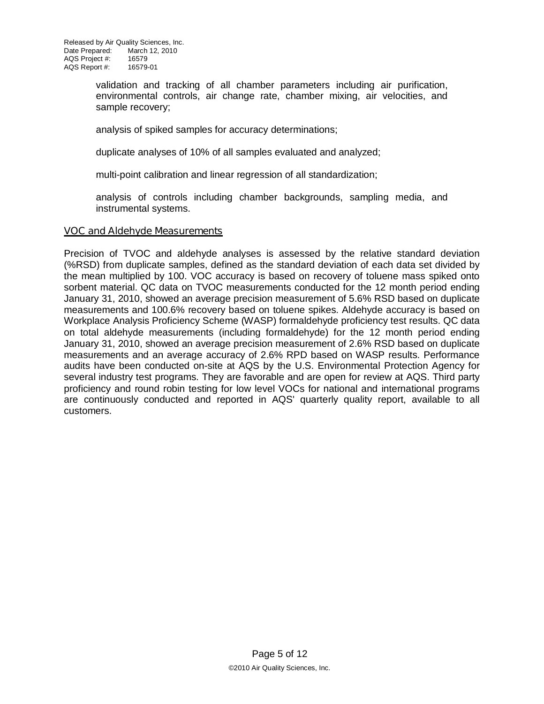validation and tracking of all chamber parameters including air purification, environmental controls, air change rate, chamber mixing, air velocities, and sample recovery;

analysis of spiked samples for accuracy determinations;

duplicate analyses of 10% of all samples evaluated and analyzed;

multi-point calibration and linear regression of all standardization;

analysis of controls including chamber backgrounds, sampling media, and instrumental systems.

#### **VOC and Aldehyde Measurements**

Precision of TVOC and aldehyde analyses is assessed by the relative standard deviation (%RSD) from duplicate samples, defined as the standard deviation of each data set divided by the mean multiplied by 100. VOC accuracy is based on recovery of toluene mass spiked onto sorbent material. QC data on TVOC measurements conducted for the 12 month period ending January 31, 2010, showed an average precision measurement of 5.6% RSD based on duplicate measurements and 100.6% recovery based on toluene spikes. Aldehyde accuracy is based on Workplace Analysis Proficiency Scheme (WASP) formaldehyde proficiency test results. QC data on total aldehyde measurements (including formaldehyde) for the 12 month period ending January 31, 2010, showed an average precision measurement of 2.6% RSD based on duplicate measurements and an average accuracy of 2.6% RPD based on WASP results. Performance audits have been conducted on-site at AQS by the U.S. Environmental Protection Agency for several industry test programs. They are favorable and are open for review at AQS. Third party proficiency and round robin testing for low level VOCs for national and international programs are continuously conducted and reported in AQS' quarterly quality report, available to all customers.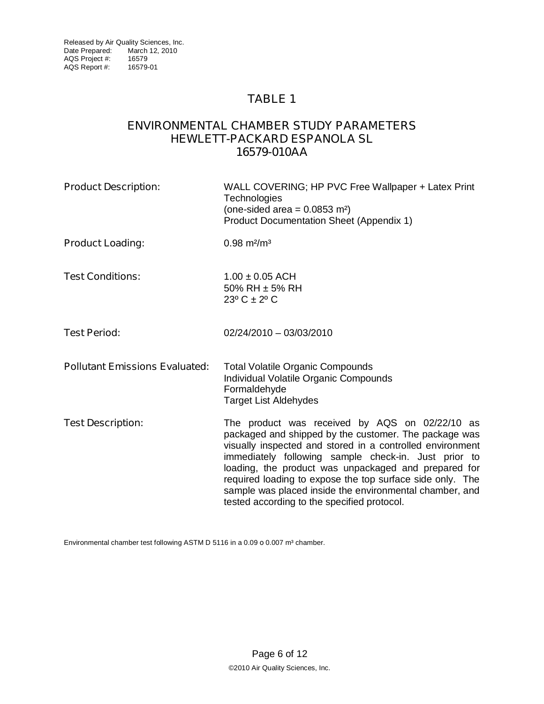### **ENVIRONMENTAL CHAMBER STUDY PARAMETERS HEWLETT-PACKARD ESPANOLA SL 16579-010AA**

| WALL COVERING; HP PVC Free Wallpaper + Latex Print<br>Technologies<br>(one-sided area = $0.0853$ m <sup>2</sup> )<br>Product Documentation Sheet (Appendix 1)                                                                                                                                                                                                                                                                                               |  |
|-------------------------------------------------------------------------------------------------------------------------------------------------------------------------------------------------------------------------------------------------------------------------------------------------------------------------------------------------------------------------------------------------------------------------------------------------------------|--|
| $0.98$ m <sup>2</sup> /m <sup>3</sup>                                                                                                                                                                                                                                                                                                                                                                                                                       |  |
| $1.00 \pm 0.05$ ACH<br>50% RH ± 5% RH<br>$23^{\circ}$ C $\pm$ 2° C                                                                                                                                                                                                                                                                                                                                                                                          |  |
| 02/24/2010 - 03/03/2010                                                                                                                                                                                                                                                                                                                                                                                                                                     |  |
| <b>Total Volatile Organic Compounds</b><br>Individual Volatile Organic Compounds<br>Formaldehyde<br><b>Target List Aldehydes</b>                                                                                                                                                                                                                                                                                                                            |  |
| The product was received by AQS on 02/22/10 as<br>packaged and shipped by the customer. The package was<br>visually inspected and stored in a controlled environment<br>immediately following sample check-in. Just prior to<br>loading, the product was unpackaged and prepared for<br>required loading to expose the top surface side only. The<br>sample was placed inside the environmental chamber, and<br>tested according to the specified protocol. |  |
|                                                                                                                                                                                                                                                                                                                                                                                                                                                             |  |

Environmental chamber test following ASTM D 5116 in a 0.09 o 0.007 m<sup>3</sup> chamber.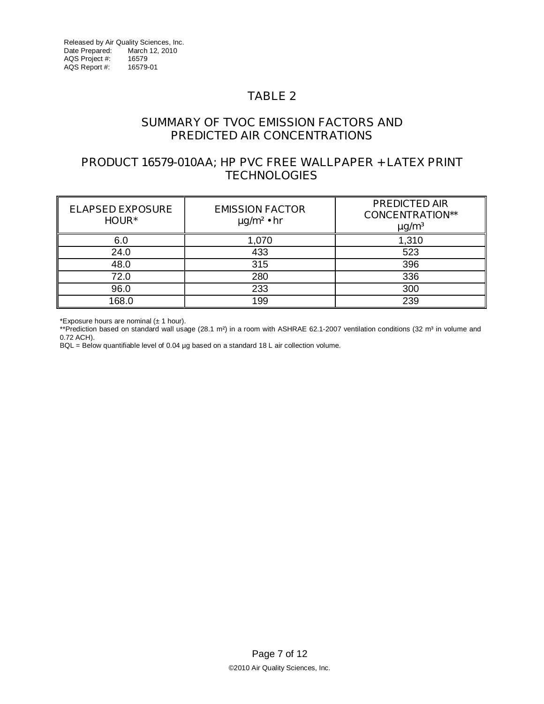## **SUMMARY OF TVOC EMISSION FACTORS AND PREDICTED AIR CONCENTRATIONS**

## **PRODUCT 16579-010AA; HP PVC FREE WALLPAPER + LATEX PRINT TECHNOLOGIES**

| <b>ELAPSED EXPOSURE</b><br>HOUR* | <b>EMISSION FACTOR</b><br>$\mu$ g/m <sup>2</sup> • hr | <b>PREDICTED AIR</b><br><b>CONCENTRATION**</b><br>$\mu$ g/m <sup>3</sup> |
|----------------------------------|-------------------------------------------------------|--------------------------------------------------------------------------|
| 6.0                              | 1,070                                                 | 1,310                                                                    |
| 24.0                             | 433                                                   | 523                                                                      |
| 48.0                             | 315                                                   | 396                                                                      |
| 72.0                             | 280                                                   | 336                                                                      |
| 96.0                             | 233                                                   | 300                                                                      |
| 168.0                            | 199                                                   | 239                                                                      |

\*Exposure hours are nominal  $(\pm 1$  hour).

\*\*Prediction based on standard wall usage (28.1 m<sup>2</sup>) in a room with ASHRAE 62.1-2007 ventilation conditions (32 m<sup>3</sup> in volume and 0.72 ACH).

BQL = Below quantifiable level of 0.04 µg based on a standard 18 L air collection volume.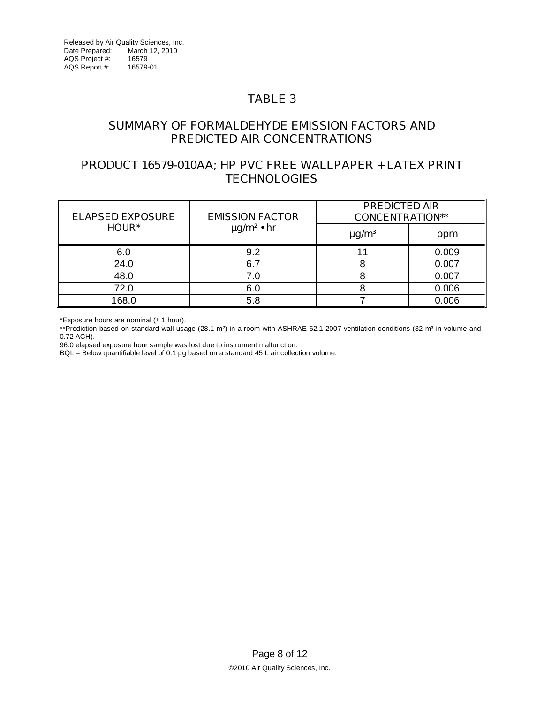### **SUMMARY OF FORMALDEHYDE EMISSION FACTORS AND PREDICTED AIR CONCENTRATIONS**

### **PRODUCT 16579-010AA; HP PVC FREE WALLPAPER + LATEX PRINT TECHNOLOGIES**

| <b>ELAPSED EXPOSURE</b> | <b>EMISSION FACTOR</b>      | <b>PREDICTED AIR</b><br><b>CONCENTRATION**</b> |       |  |
|-------------------------|-----------------------------|------------------------------------------------|-------|--|
| <b>HOUR*</b>            | $\mu$ g/m <sup>2</sup> • hr | $\mu$ g/m <sup>3</sup>                         | ppm   |  |
| 6.0                     | 9.2                         |                                                | 0.009 |  |
| 24.0                    | 6.7                         |                                                | 0.007 |  |
| 48.0                    | 7.0                         |                                                | 0.007 |  |
| 72.0                    | 6.0                         |                                                | 0.006 |  |
| 168.0                   | 5.8                         |                                                | 0.006 |  |

\*Exposure hours are nominal  $(\pm 1$  hour).

\*\*Prediction based on standard wall usage  $(28.1 \text{ m}^2)$  in a room with ASHRAE 62.1-2007 ventilation conditions  $(32 \text{ m}^3)$  in volume and 0.72 ACH).

96.0 elapsed exposure hour sample was lost due to instrument malfunction.

BQL = Below quantifiable level of 0.1 µg based on a standard 45 L air collection volume.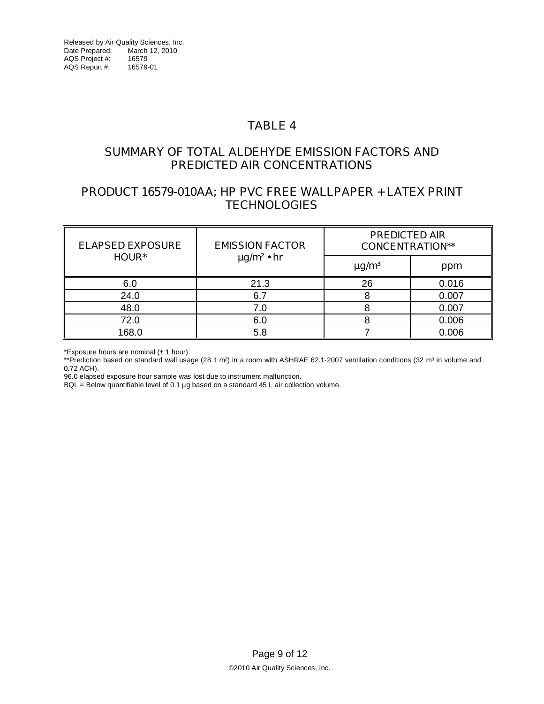### **SUMMARY OF TOTAL ALDEHYDE EMISSION FACTORS AND PREDICTED AIR CONCENTRATIONS**

## **PRODUCT 16579-010AA; HP PVC FREE WALLPAPER + LATEX PRINT TECHNOLOGIES**

| <b>ELAPSED EXPOSURE</b> | <b>EMISSION FACTOR</b>      | <b>PREDICTED AIR</b><br><b>CONCENTRATION**</b> |       |  |
|-------------------------|-----------------------------|------------------------------------------------|-------|--|
| <b>HOUR*</b>            | $\mu$ g/m <sup>2</sup> • hr | $\mu$ g/m <sup>3</sup>                         | ppm   |  |
| 6.0                     | 21.3                        | 26                                             | 0.016 |  |
| 24.0                    | 6.7                         |                                                | 0.007 |  |
| 48.0                    | 7.0                         |                                                | 0.007 |  |
| 72.0                    | 6.0                         |                                                | 0.006 |  |
| 168.0                   | 5.8                         | 0.006                                          |       |  |

\*Exposure hours are nominal  $(± 1 hour)$ .

\*\*Prediction based on standard wall usage (28.1 m<sup>2</sup>) in a room with ASHRAE 62.1-2007 ventilation conditions (32 m<sup>3</sup> in volume and 0.72 ACH).

96.0 elapsed exposure hour sample was lost due to instrument malfunction.

BQL = Below quantifiable level of 0.1 µg based on a standard 45 L air collection volume.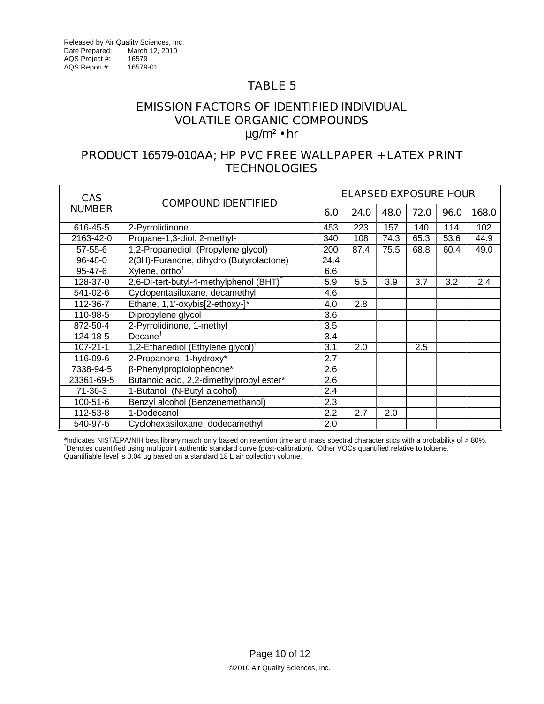### **EMISSION FACTORS OF IDENTIFIED INDIVIDUAL VOLATILE ORGANIC COMPOUNDS µg/m² • hr**

### **PRODUCT 16579-010AA; HP PVC FREE WALLPAPER + LATEX PRINT TECHNOLOGIES**

| <b>CAS</b>     | <b>COMPOUND IDENTIFIED</b>                          |      | <b>ELAPSED EXPOSURE HOUR</b> |      |      |      |       |
|----------------|-----------------------------------------------------|------|------------------------------|------|------|------|-------|
| <b>NUMBER</b>  |                                                     | 6.0  | 24.0                         | 48.0 | 72.0 | 96.0 | 168.0 |
| 616-45-5       | 2-Pyrrolidinone                                     | 453  | 223                          | 157  | 140  | 114  | 102   |
| 2163-42-0      | Propane-1,3-diol, 2-methyl-                         | 340  | 108                          | 74.3 | 65.3 | 53.6 | 44.9  |
| 57-55-6        | 1,2-Propanediol (Propylene glycol)                  | 200  | 87.4                         | 75.5 | 68.8 | 60.4 | 49.0  |
| 96-48-0        | 2(3H)-Furanone, dihydro (Butyrolactone)             | 24.4 |                              |      |      |      |       |
| 95-47-6        | Xylene, ortho <sup>†</sup>                          | 6.6  |                              |      |      |      |       |
| 128-37-0       | 2,6-Di-tert-butyl-4-methylphenol (BHT) <sup>1</sup> | 5.9  | 5.5                          | 3.9  | 3.7  | 3.2  | 2.4   |
| 541-02-6       | Cyclopentasiloxane, decamethyl                      | 4.6  |                              |      |      |      |       |
| 112-36-7       | Ethane, 1,1'-oxybis[2-ethoxy-]*                     | 4.0  | 2.8                          |      |      |      |       |
| 110-98-5       | Dipropylene glycol                                  | 3.6  |                              |      |      |      |       |
| 872-50-4       | 2-Pyrrolidinone, 1-methyl <sup>†</sup>              | 3.5  |                              |      |      |      |       |
| 124-18-5       | Decane <sup>†</sup>                                 | 3.4  |                              |      |      |      |       |
| $107 - 21 - 1$ | 1,2-Ethanediol (Ethylene glycol) <sup>T</sup>       | 3.1  | 2.0                          |      | 2.5  |      |       |
| 116-09-6       | 2-Propanone, 1-hydroxy*                             | 2.7  |                              |      |      |      |       |
| 7338-94-5      | -Phenylpropiolophenone*                             | 2.6  |                              |      |      |      |       |
| 23361-69-5     | Butanoic acid, 2,2-dimethylpropyl ester*            | 2.6  |                              |      |      |      |       |
| 71-36-3        | 1-Butanol (N-Butyl alcohol)                         | 2.4  |                              |      |      |      |       |
| 100-51-6       | Benzyl alcohol (Benzenemethanol)                    | 2.3  |                              |      |      |      |       |
| 112-53-8       | 1-Dodecanol                                         | 2.2  | 2.7                          | 2.0  |      |      |       |
| 540-97-6       | Cyclohexasiloxane, dodecamethyl                     | 2.0  |                              |      |      |      |       |

\*Indicates NIST/EPA/NIH best library match only based on retention time and mass spectral characteristics with a probability of > 80%.<br><sup>†</sup>Denotes quantified using multipoint authentic standard curve (post-calibration). Ot Quantifiable level is 0.04 µg based on a standard 18 L air collection volume.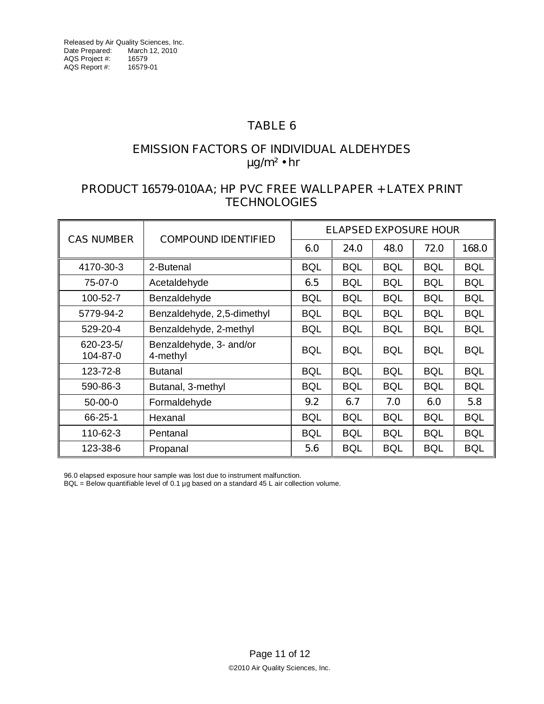## **EMISSION FACTORS OF INDIVIDUAL ALDEHYDES µg/m² • hr**

## **PRODUCT 16579-010AA; HP PVC FREE WALLPAPER + LATEX PRINT TECHNOLOGIES**

| <b>CAS NUMBER</b>           | <b>COMPOUND IDENTIFIED</b>          | <b>ELAPSED EXPOSURE HOUR</b> |            |            |            |            |
|-----------------------------|-------------------------------------|------------------------------|------------|------------|------------|------------|
|                             |                                     | 6.0                          | 24.0       | 48.0       | 72.0       | 168.0      |
| 4170-30-3                   | 2-Butenal                           | <b>BQL</b>                   | <b>BQL</b> | <b>BQL</b> | <b>BQL</b> | <b>BQL</b> |
| 75-07-0                     | Acetaldehyde                        | 6.5                          | <b>BQL</b> | <b>BQL</b> | <b>BQL</b> | <b>BQL</b> |
| 100-52-7                    | Benzaldehyde                        | <b>BQL</b>                   | <b>BQL</b> | <b>BQL</b> | <b>BQL</b> | <b>BQL</b> |
| 5779-94-2                   | Benzaldehyde, 2,5-dimethyl          | <b>BQL</b>                   | <b>BQL</b> | <b>BQL</b> | <b>BQL</b> | <b>BQL</b> |
| 529-20-4                    | Benzaldehyde, 2-methyl              | <b>BQL</b>                   | <b>BQL</b> | <b>BQL</b> | <b>BQL</b> | <b>BQL</b> |
| $620 - 23 - 5/$<br>104-87-0 | Benzaldehyde, 3- and/or<br>4-methyl | <b>BQL</b>                   | <b>BQL</b> | <b>BQL</b> | <b>BQL</b> | <b>BQL</b> |
| 123-72-8                    | <b>Butanal</b>                      | <b>BQL</b>                   | <b>BQL</b> | <b>BQL</b> | <b>BQL</b> | <b>BQL</b> |
| 590-86-3                    | Butanal, 3-methyl                   | <b>BQL</b>                   | <b>BQL</b> | <b>BQL</b> | <b>BQL</b> | <b>BQL</b> |
| $50-00-0$                   | Formaldehyde                        | 9.2                          | 6.7        | 7.0        | 6.0        | 5.8        |
| 66-25-1                     | Hexanal                             | <b>BQL</b>                   | <b>BQL</b> | <b>BQL</b> | <b>BQL</b> | <b>BQL</b> |
| 110-62-3                    | Pentanal                            | <b>BQL</b>                   | <b>BQL</b> | <b>BQL</b> | <b>BQL</b> | <b>BQL</b> |
| 123-38-6                    | Propanal                            | 5.6                          | <b>BQL</b> | <b>BQL</b> | <b>BQL</b> | <b>BQL</b> |

96.0 elapsed exposure hour sample was lost due to instrument malfunction.

 $BQL =$  Below quantifiable level of 0.1 µg based on a standard 45 L air collection volume.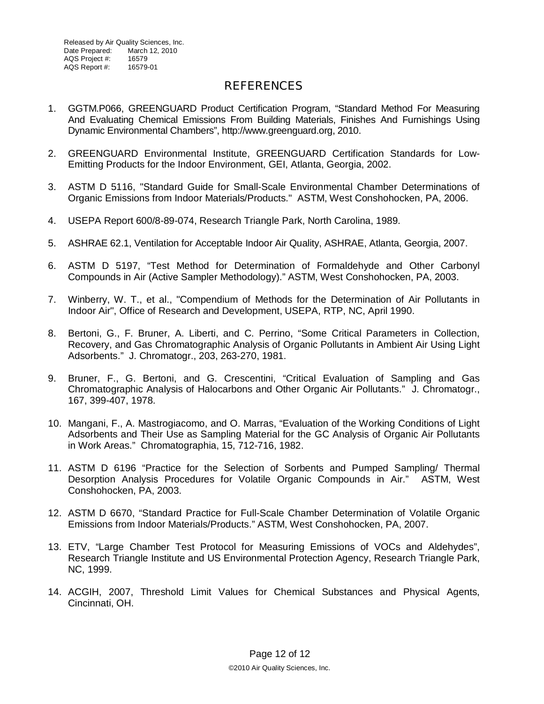Released by Air Quality Sciences, Inc. Date Prepared: March 12, 2010<br>AQS Proiect #: 16579 AQS Project #: 16579<br>AQS Report #: 16579-01 AQS Report #:

#### **REFERENCES**

- 1. GGTM.P066, GREENGUARD Product Certification Program, "Standard Method For Measuring And Evaluating Chemical Emissions From Building Materials, Finishes And Furnishings Using Dynamic Environmental Chambers", [http://www.greenguard.org,](http://www.greenguard.org) 2010.
- 2. GREENGUARD Environmental Institute, GREENGUARD Certification Standards for Low-Emitting Products for the Indoor Environment, GEI, Atlanta, Georgia, 2002.
- 3. ASTM D 5116, "Standard Guide for Small-Scale Environmental Chamber Determinations of Organic Emissions from Indoor Materials/Products." ASTM, West Conshohocken, PA, 2006.
- 4. USEPA Report 600/8-89-074, Research Triangle Park, North Carolina, 1989.
- 5. ASHRAE 62.1, Ventilation for Acceptable Indoor Air Quality, ASHRAE, Atlanta, Georgia, 2007.
- 6. ASTM D 5197, "Test Method for Determination of Formaldehyde and Other Carbonyl Compounds in Air (Active Sampler Methodology)." ASTM, West Conshohocken, PA, 2003.
- 7. Winberry, W. T., et al., "Compendium of Methods for the Determination of Air Pollutants in Indoor Air", Office of Research and Development, USEPA, RTP, NC, April 1990.
- 8. Bertoni, G., F. Bruner, A. Liberti, and C. Perrino, "Some Critical Parameters in Collection, Recovery, and Gas Chromatographic Analysis of Organic Pollutants in Ambient Air Using Light Adsorbents." J. Chromatogr., 203, 263-270, 1981.
- 9. Bruner, F., G. Bertoni, and G. Crescentini, "Critical Evaluation of Sampling and Gas Chromatographic Analysis of Halocarbons and Other Organic Air Pollutants." J. Chromatogr., 167, 399-407, 1978.
- 10. Mangani, F., A. Mastrogiacomo, and O. Marras, "Evaluation of the Working Conditions of Light Adsorbents and Their Use as Sampling Material for the GC Analysis of Organic Air Pollutants in Work Areas." Chromatographia, 15, 712-716, 1982.
- 11. ASTM D 6196 "Practice for the Selection of Sorbents and Pumped Sampling/ Thermal Desorption Analysis Procedures for Volatile Organic Compounds in Air." ASTM, West Conshohocken, PA, 2003.
- 12. ASTM D 6670, "Standard Practice for Full-Scale Chamber Determination of Volatile Organic Emissions from Indoor Materials/Products." ASTM, West Conshohocken, PA, 2007.
- 13. ETV, "Large Chamber Test Protocol for Measuring Emissions of VOCs and Aldehydes", Research Triangle Institute and US Environmental Protection Agency, Research Triangle Park, NC, 1999.
- 14. ACGIH, 2007, Threshold Limit Values for Chemical Substances and Physical Agents, Cincinnati, OH.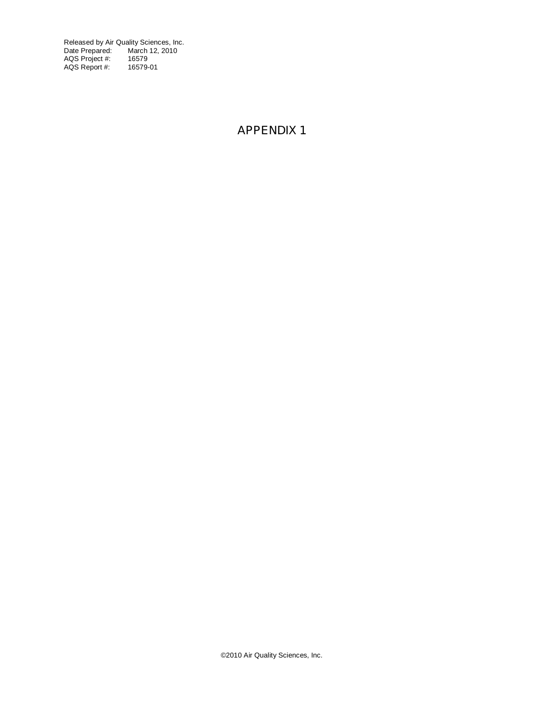Released by Air Quality Sciences, Inc. Date Prepared: March 12, 2010 AQS Project #: 16579 AQS Report #: 16579-01

## **APPENDIX 1**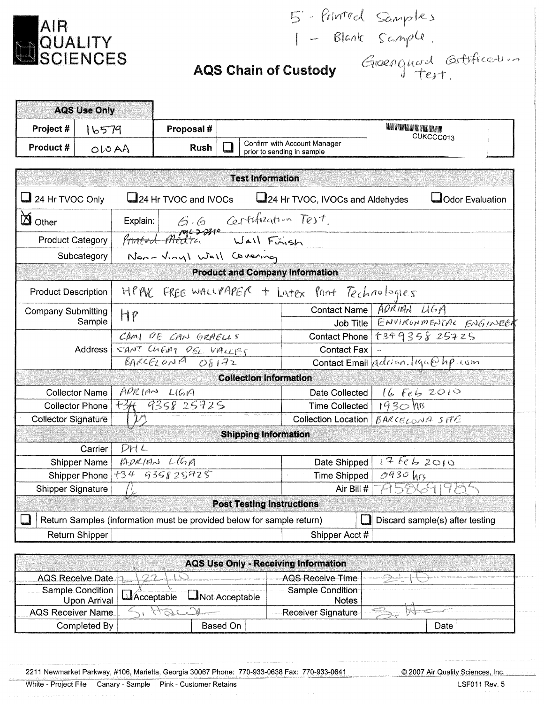

5 - Printed Samples<br>1 - Blank Sample.<br>2**ustody** Groengingd Gettfreeting

|  |  |  | <b>AQS Chain of Custody</b> |
|--|--|--|-----------------------------|
|--|--|--|-----------------------------|

| <b>AQS Use Only</b>                 |                                          |                       |                                                                       |                                                            |                                  |                                               |                                      |  |  |  |
|-------------------------------------|------------------------------------------|-----------------------|-----------------------------------------------------------------------|------------------------------------------------------------|----------------------------------|-----------------------------------------------|--------------------------------------|--|--|--|
| Project #                           | 16579                                    |                       | Proposal #                                                            |                                                            |                                  |                                               |                                      |  |  |  |
| Product #                           | OIOAN                                    |                       | <b>Rush</b>                                                           | Confirm with Account Manager<br>prior to sending in sample |                                  | CUKCCC013                                     |                                      |  |  |  |
|                                     |                                          |                       |                                                                       |                                                            |                                  |                                               |                                      |  |  |  |
| <b>Test Information</b>             |                                          |                       |                                                                       |                                                            |                                  |                                               |                                      |  |  |  |
| $\Box$ 24 Hr TVOC Only              |                                          |                       | 24 Hr TVOC and IVOCs                                                  |                                                            |                                  | 24 Hr TVOC, IVOCs and Aldehydes               | Odor Evaluation                      |  |  |  |
| <b>D</b> Other                      |                                          |                       | Explain: G.G. Certification Test.<br>Printed Medical Wall Fraish      |                                                            |                                  |                                               |                                      |  |  |  |
| <b>Product Category</b>             |                                          |                       |                                                                       |                                                            |                                  |                                               |                                      |  |  |  |
| Subcategory                         |                                          |                       | Non-Viryl Wall Covering                                               |                                                            |                                  |                                               |                                      |  |  |  |
|                                     |                                          |                       |                                                                       |                                                            |                                  | <b>Product and Company Information</b>        |                                      |  |  |  |
| <b>Product Description</b>          |                                          |                       |                                                                       |                                                            |                                  | HPAK FREE WALLPAPER + Latex Pant Technologies |                                      |  |  |  |
| <b>Company Submitting</b><br>Sample |                                          |                       |                                                                       |                                                            |                                  |                                               | Contact Name ADRIAN LIGA             |  |  |  |
|                                     |                                          | HP                    |                                                                       |                                                            |                                  |                                               | JOB Title ENVIRONMENTAL ENGINEER     |  |  |  |
| Address                             |                                          | CAMI DE CAN GRAELLS   |                                                                       |                                                            |                                  |                                               | Contact Phone +349358 25725          |  |  |  |
|                                     |                                          | SANT CHENT DEL VALLES |                                                                       |                                                            |                                  | <b>Contact Fax</b>                            |                                      |  |  |  |
|                                     |                                          |                       | BARCELONA OF172                                                       |                                                            |                                  | Contact Email adrian. liga@hp.com             |                                      |  |  |  |
|                                     |                                          |                       |                                                                       |                                                            | <b>Collection Information</b>    |                                               |                                      |  |  |  |
| <b>Collector Name</b>               |                                          |                       | APRIAN LIGIA                                                          |                                                            |                                  | Date Collected                                |                                      |  |  |  |
|                                     | +3H 9358 25725<br><b>Collector Phone</b> |                       |                                                                       | Time Collected                                             | 16 Feb 2010<br>1930 MB           |                                               |                                      |  |  |  |
| <b>Collector Signature</b>          |                                          |                       |                                                                       |                                                            |                                  |                                               | Collection Location   BARCELONA SYTE |  |  |  |
|                                     |                                          |                       |                                                                       |                                                            | <b>Shipping Information</b>      |                                               |                                      |  |  |  |
|                                     | Carrier                                  | DHL                   |                                                                       |                                                            |                                  |                                               |                                      |  |  |  |
|                                     | ADRIAN LLGA<br>Shipper Name              |                       |                                                                       |                                                            | Date Shipped                     | 17662010                                      |                                      |  |  |  |
| Shipper Phone +34 935825725         |                                          |                       |                                                                       |                                                            |                                  | Time Shipped                                  | $0930$ hrs                           |  |  |  |
| Shipper Signature                   |                                          |                       |                                                                       |                                                            |                                  | Air Bill #                                    | A586919B                             |  |  |  |
|                                     |                                          |                       |                                                                       |                                                            | <b>Post Testing Instructions</b> |                                               |                                      |  |  |  |
|                                     |                                          |                       | Return Samples (information must be provided below for sample return) |                                                            |                                  |                                               | Discard sample(s) after testing      |  |  |  |
|                                     | Return Shipper                           |                       |                                                                       |                                                            |                                  | Shipper Acct #                                |                                      |  |  |  |

| AQS Use Only - Receiving Information |                               |                                  |      |  |  |  |  |  |  |  |  |
|--------------------------------------|-------------------------------|----------------------------------|------|--|--|--|--|--|--|--|--|
| AQS Receive Date                     |                               | -AQS-Receive-Time-               |      |  |  |  |  |  |  |  |  |
| Sample Condition                     | LAcceptable<br>Not Acceptable | Sample Condition<br><b>Notes</b> |      |  |  |  |  |  |  |  |  |
| <b>AQS Receiver Name</b>             |                               | Receiver Signature               |      |  |  |  |  |  |  |  |  |
| Completed By                         | Based On                      |                                  | Date |  |  |  |  |  |  |  |  |

2211 Newmarket Parkway, #106, Marietta, Georgia 30067 Phone: 770-933-0638 Fax: 770-933-0641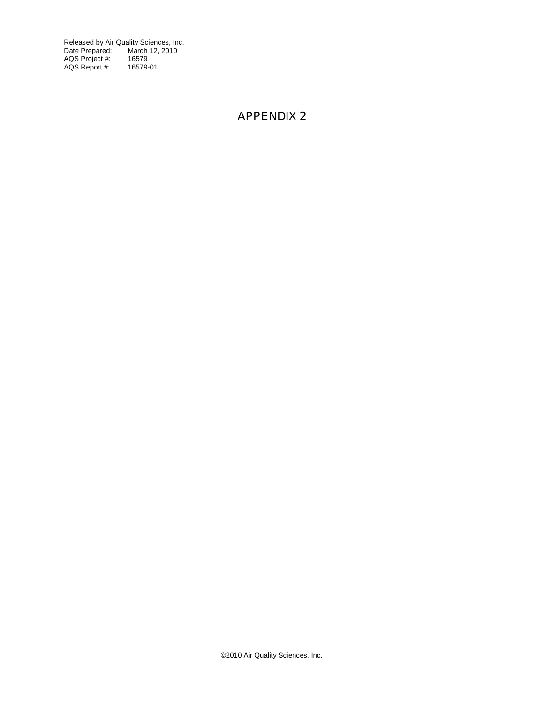Released by Air Quality Sciences, Inc. Date Prepared: March 12, 2010 AQS Project #: 16579 AQS Report #: 16579-01

## **APPENDIX 2**